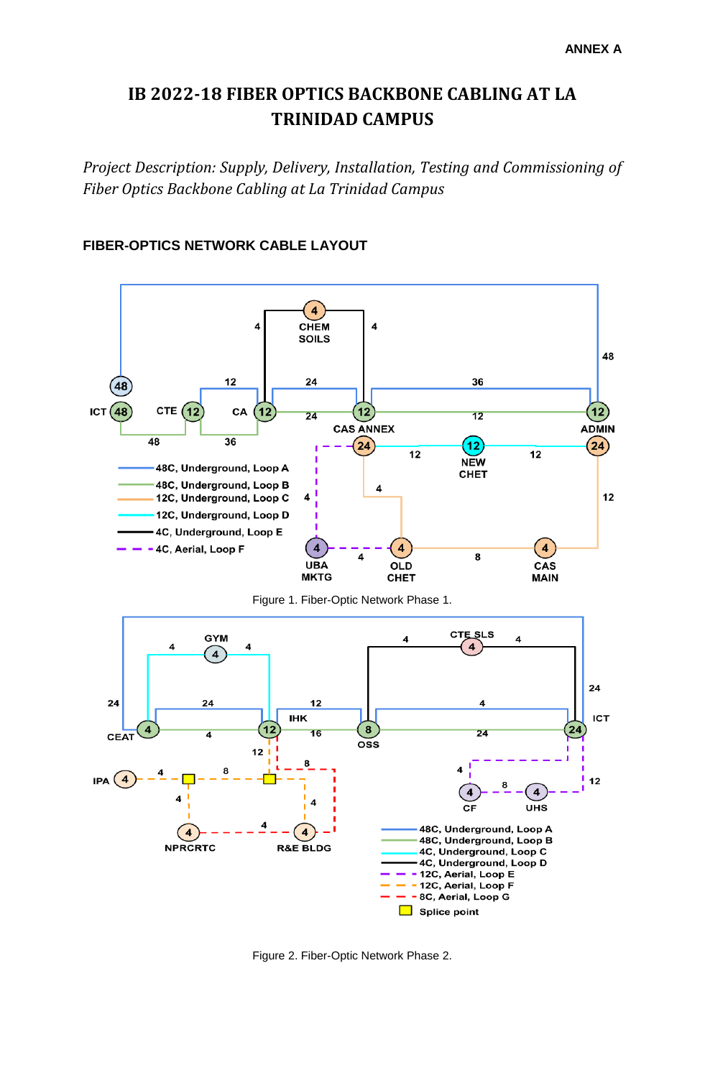## **IB 2022-18 FIBER OPTICS BACKBONE CABLING AT LA TRINIDAD CAMPUS**

*Project Description: Supply, Delivery, Installation, Testing and Commissioning of Fiber Optics Backbone Cabling at La Trinidad Campus*



## **FIBER-OPTICS NETWORK CABLE LAYOUT**

Figure 2. Fiber-Optic Network Phase 2.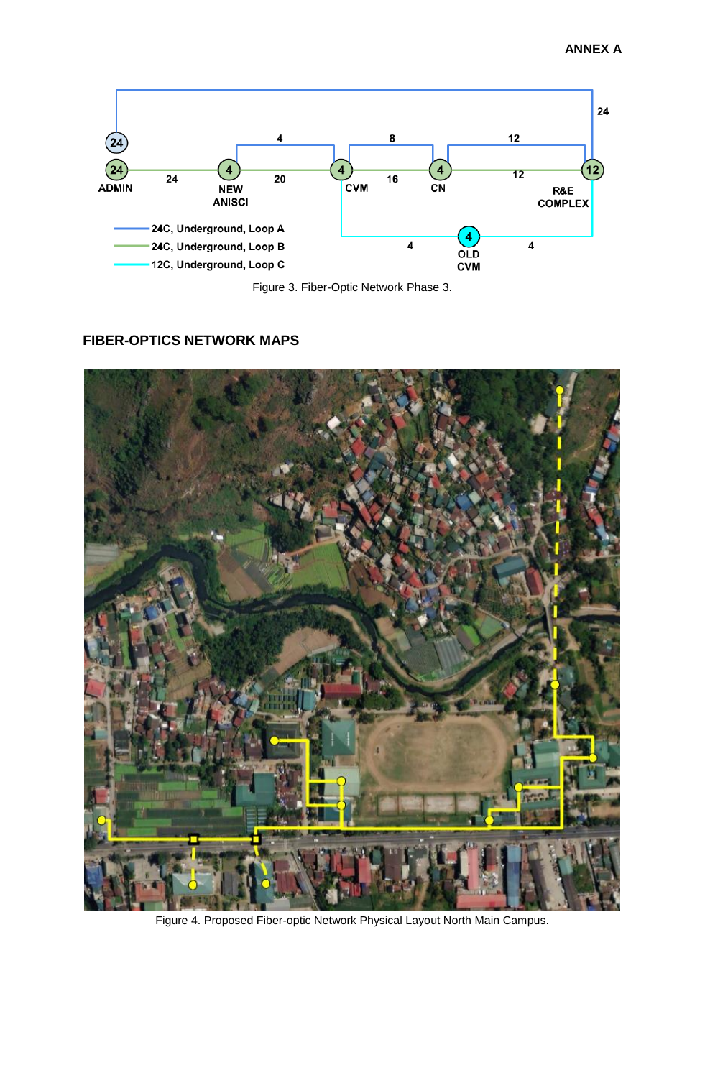

Figure 3. Fiber-Optic Network Phase 3.

## **FIBER-OPTICS NETWORK MAPS**



Figure 4. Proposed Fiber-optic Network Physical Layout North Main Campus.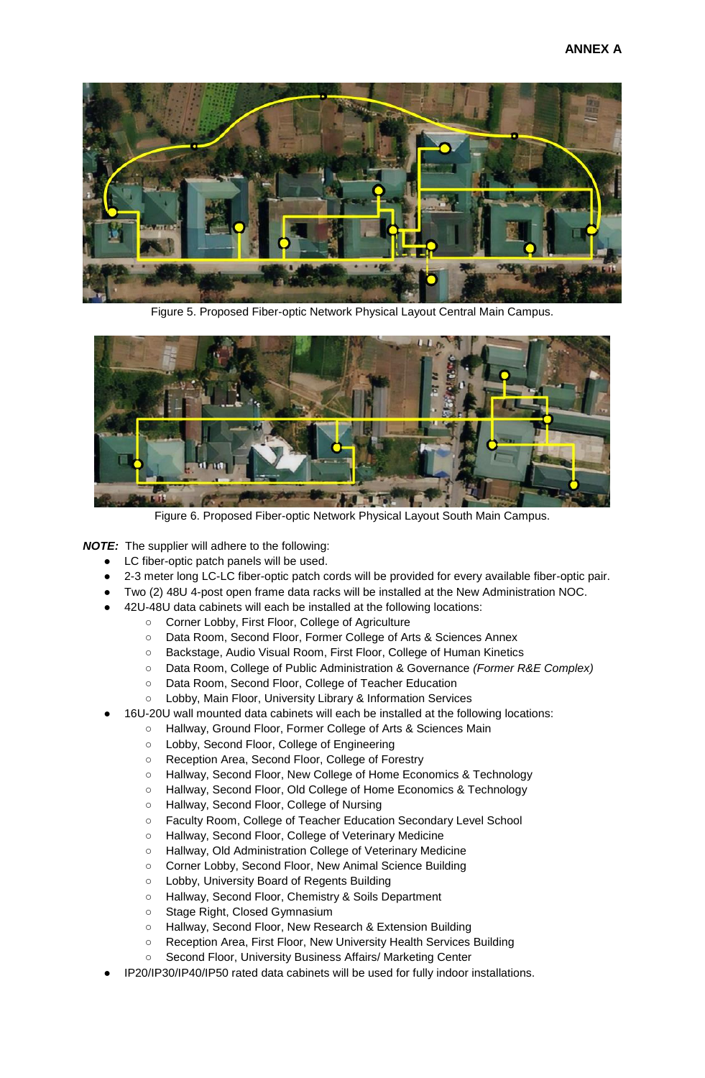

Figure 5. Proposed Fiber-optic Network Physical Layout Central Main Campus.



Figure 6. Proposed Fiber-optic Network Physical Layout South Main Campus.

*NOTE:* The supplier will adhere to the following:

- LC fiber-optic patch panels will be used.
- 2-3 meter long LC-LC fiber-optic patch cords will be provided for every available fiber-optic pair.
- Two (2) 48U 4-post open frame data racks will be installed at the New Administration NOC.
- 42U-48U data cabinets will each be installed at the following locations:
	- Corner Lobby, First Floor, College of Agriculture
		- Data Room, Second Floor, Former College of Arts & Sciences Annex
		- Backstage, Audio Visual Room, First Floor, College of Human Kinetics
		- Data Room, College of Public Administration & Governance *(Former R&E Complex)*
		- Data Room, Second Floor, College of Teacher Education
	- Lobby, Main Floor, University Library & Information Services
	- 16U-20U wall mounted data cabinets will each be installed at the following locations:
		- Hallway, Ground Floor, Former College of Arts & Sciences Main
		- Lobby, Second Floor, College of Engineering
		- Reception Area, Second Floor, College of Forestry
		- Hallway, Second Floor, New College of Home Economics & Technology
		- Hallway, Second Floor, Old College of Home Economics & Technology
		- Hallway, Second Floor, College of Nursing
		- Faculty Room, College of Teacher Education Secondary Level School
		- Hallway, Second Floor, College of Veterinary Medicine
		- Hallway, Old Administration College of Veterinary Medicine
		- Corner Lobby, Second Floor, New Animal Science Building
		- Lobby, University Board of Regents Building
		- Hallway, Second Floor, Chemistry & Soils Department
		- Stage Right, Closed Gymnasium
		- Hallway, Second Floor, New Research & Extension Building
		- Reception Area, First Floor, New University Health Services Building
		- Second Floor, University Business Affairs/ Marketing Center
- IP20/IP30/IP40/IP50 rated data cabinets will be used for fully indoor installations.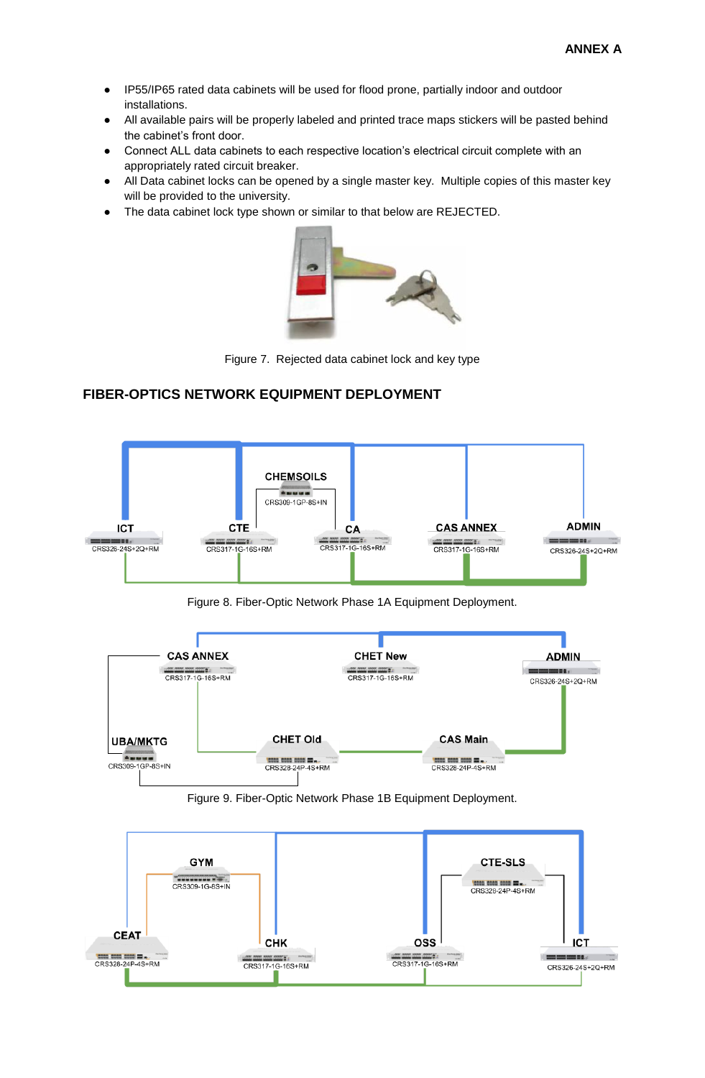- IP55/IP65 rated data cabinets will be used for flood prone, partially indoor and outdoor installations.
- All available pairs will be properly labeled and printed trace maps stickers will be pasted behind the cabinet's front door.
- Connect ALL data cabinets to each respective location's electrical circuit complete with an appropriately rated circuit breaker.
- All Data cabinet locks can be opened by a single master key. Multiple copies of this master key will be provided to the university.
- The data cabinet lock type shown or similar to that below are REJECTED.



Figure 7. Rejected data cabinet lock and key type

## **FIBER-OPTICS NETWORK EQUIPMENT DEPLOYMENT**



Figure 8. Fiber-Optic Network Phase 1A Equipment Deployment.



Figure 9. Fiber-Optic Network Phase 1B Equipment Deployment.